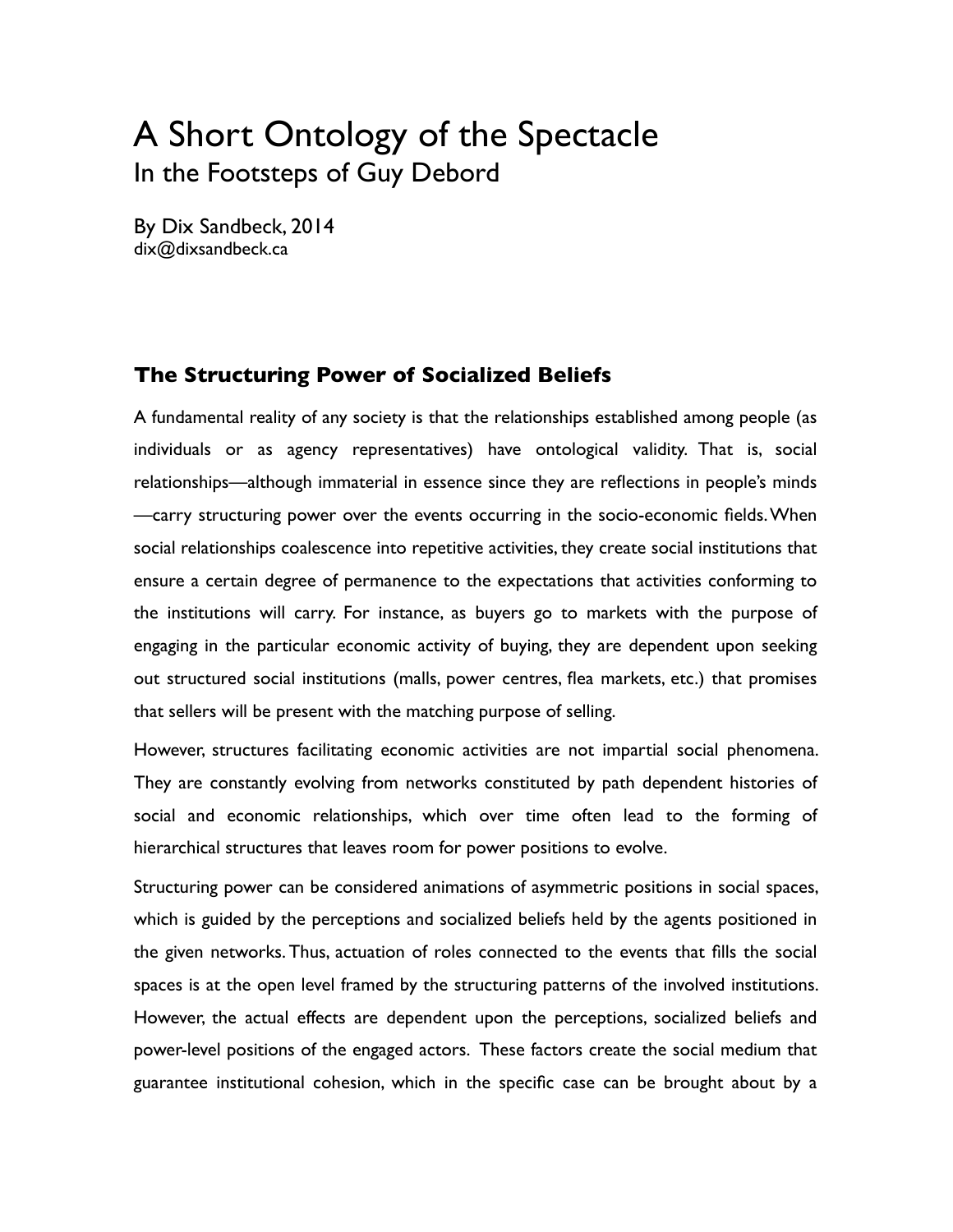# A Short Ontology of the Spectacle In the Footsteps of Guy Debord

By Dix Sandbeck, 2014 dix@dixsandbeck.ca

## **The Structuring Power of Socialized Beliefs**

A fundamental reality of any society is that the relationships established among people (as individuals or as agency representatives) have ontological validity. That is, social relationships—although immaterial in essence since they are reflections in people's minds —carry structuring power over the events occurring in the socio-economic fields. When social relationships coalescence into repetitive activities, they create social institutions that ensure a certain degree of permanence to the expectations that activities conforming to the institutions will carry. For instance, as buyers go to markets with the purpose of engaging in the particular economic activity of buying, they are dependent upon seeking out structured social institutions (malls, power centres, flea markets, etc.) that promises that sellers will be present with the matching purpose of selling.

However, structures facilitating economic activities are not impartial social phenomena. They are constantly evolving from networks constituted by path dependent histories of social and economic relationships, which over time often lead to the forming of hierarchical structures that leaves room for power positions to evolve.

Structuring power can be considered animations of asymmetric positions in social spaces, which is guided by the perceptions and socialized beliefs held by the agents positioned in the given networks. Thus, actuation of roles connected to the events that fills the social spaces is at the open level framed by the structuring patterns of the involved institutions. However, the actual effects are dependent upon the perceptions, socialized beliefs and power-level positions of the engaged actors. These factors create the social medium that guarantee institutional cohesion, which in the specific case can be brought about by a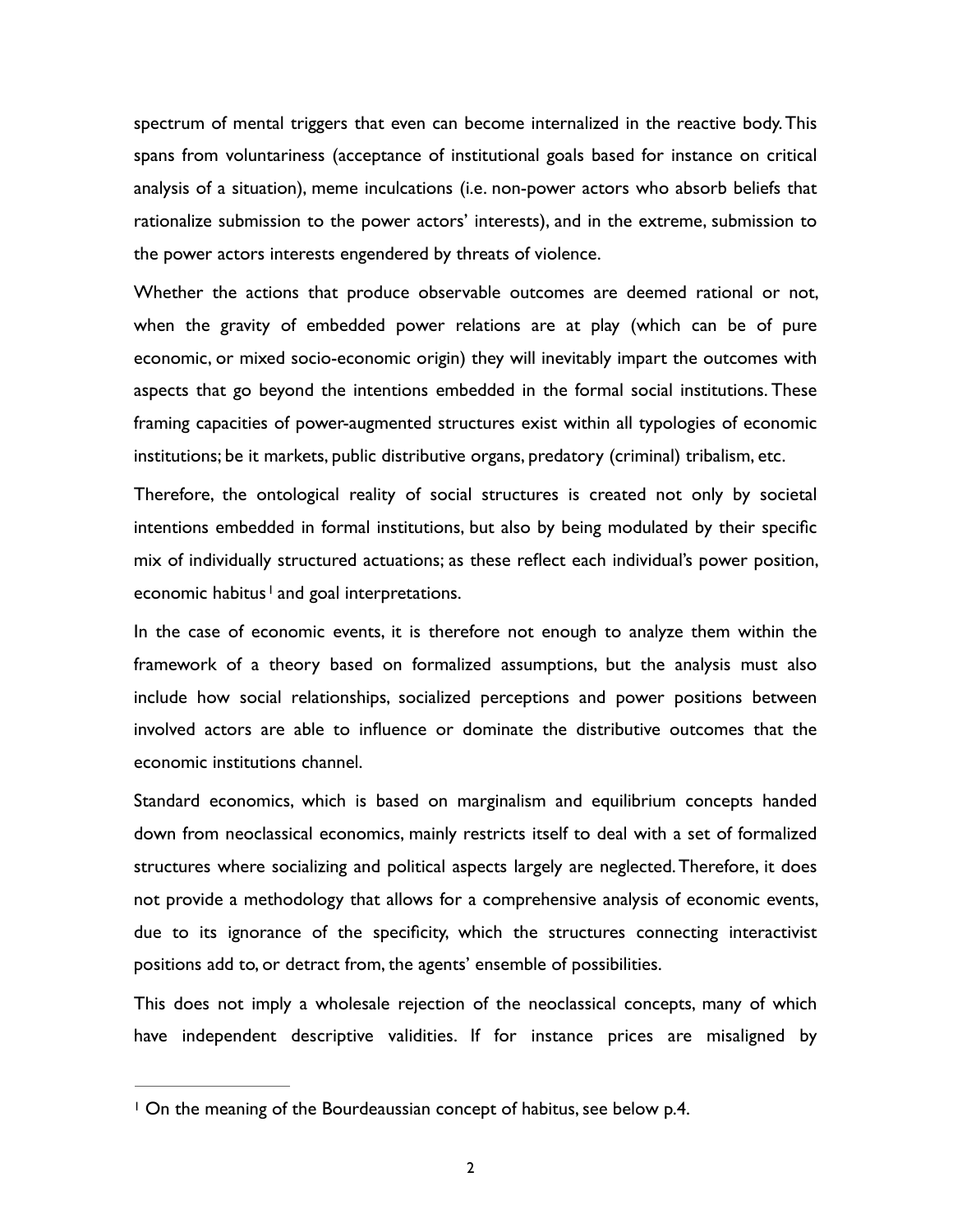spectrum of mental triggers that even can become internalized in the reactive body. This spans from voluntariness (acceptance of institutional goals based for instance on critical analysis of a situation), meme inculcations (i.e. non-power actors who absorb beliefs that rationalize submission to the power actors' interests), and in the extreme, submission to the power actors interests engendered by threats of violence.

Whether the actions that produce observable outcomes are deemed rational or not, when the gravity of embedded power relations are at play (which can be of pure economic, or mixed socio-economic origin) they will inevitably impart the outcomes with aspects that go beyond the intentions embedded in the formal social institutions. These framing capacities of power-augmented structures exist within all typologies of economic institutions; be it markets, public distributive organs, predatory (criminal) tribalism, etc.

Therefore, the ontological reality of social structures is created not only by societal intentions embedded in formal institutions, but also by being modulated by their specific mix of individually structured actuations; as these reflect each individual's power position, economichabitus  $\frac{1}{2}$  and goal interpretations.

<span id="page-1-1"></span>In the case of economic events, it is therefore not enough to analyze them within the framework of a theory based on formalized assumptions, but the analysis must also include how social relationships, socialized perceptions and power positions between involved actors are able to influence or dominate the distributive outcomes that the economic institutions channel.

Standard economics, which is based on marginalism and equilibrium concepts handed down from neoclassical economics, mainly restricts itself to deal with a set of formalized structures where socializing and political aspects largely are neglected. Therefore, it does not provide a methodology that allows for a comprehensive analysis of economic events, due to its ignorance of the specificity, which the structures connecting interactivist positions add to, or detract from, the agents' ensemble of possibilities.

This does not imply a wholesale rejection of the neoclassical concepts, many of which have independent descriptive validities. If for instance prices are misaligned by

<span id="page-1-0"></span><sup>&</sup>lt;sup>[1](#page-1-1)</sup> On the meaning of the Bourdeaussian concept of habitus, see below p.4.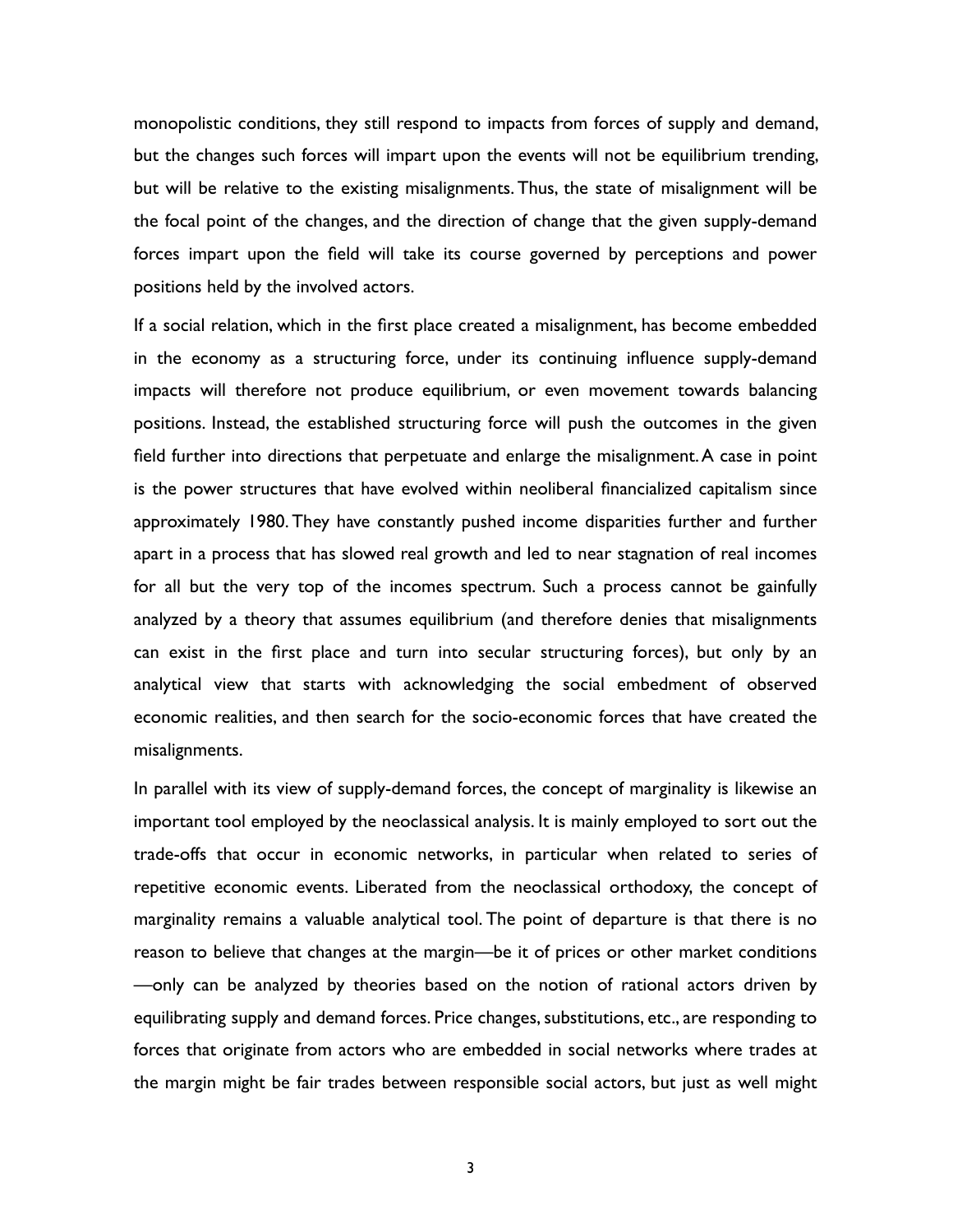monopolistic conditions, they still respond to impacts from forces of supply and demand, but the changes such forces will impart upon the events will not be equilibrium trending, but will be relative to the existing misalignments. Thus, the state of misalignment will be the focal point of the changes, and the direction of change that the given supply-demand forces impart upon the field will take its course governed by perceptions and power positions held by the involved actors.

If a social relation, which in the first place created a misalignment, has become embedded in the economy as a structuring force, under its continuing influence supply-demand impacts will therefore not produce equilibrium, or even movement towards balancing positions. Instead, the established structuring force will push the outcomes in the given field further into directions that perpetuate and enlarge the misalignment. A case in point is the power structures that have evolved within neoliberal financialized capitalism since approximately 1980. They have constantly pushed income disparities further and further apart in a process that has slowed real growth and led to near stagnation of real incomes for all but the very top of the incomes spectrum. Such a process cannot be gainfully analyzed by a theory that assumes equilibrium (and therefore denies that misalignments can exist in the first place and turn into secular structuring forces), but only by an analytical view that starts with acknowledging the social embedment of observed economic realities, and then search for the socio-economic forces that have created the misalignments.

In parallel with its view of supply-demand forces, the concept of marginality is likewise an important tool employed by the neoclassical analysis. It is mainly employed to sort out the trade-offs that occur in economic networks, in particular when related to series of repetitive economic events. Liberated from the neoclassical orthodoxy, the concept of marginality remains a valuable analytical tool. The point of departure is that there is no reason to believe that changes at the margin—be it of prices or other market conditions —only can be analyzed by theories based on the notion of rational actors driven by equilibrating supply and demand forces. Price changes, substitutions, etc., are responding to forces that originate from actors who are embedded in social networks where trades at the margin might be fair trades between responsible social actors, but just as well might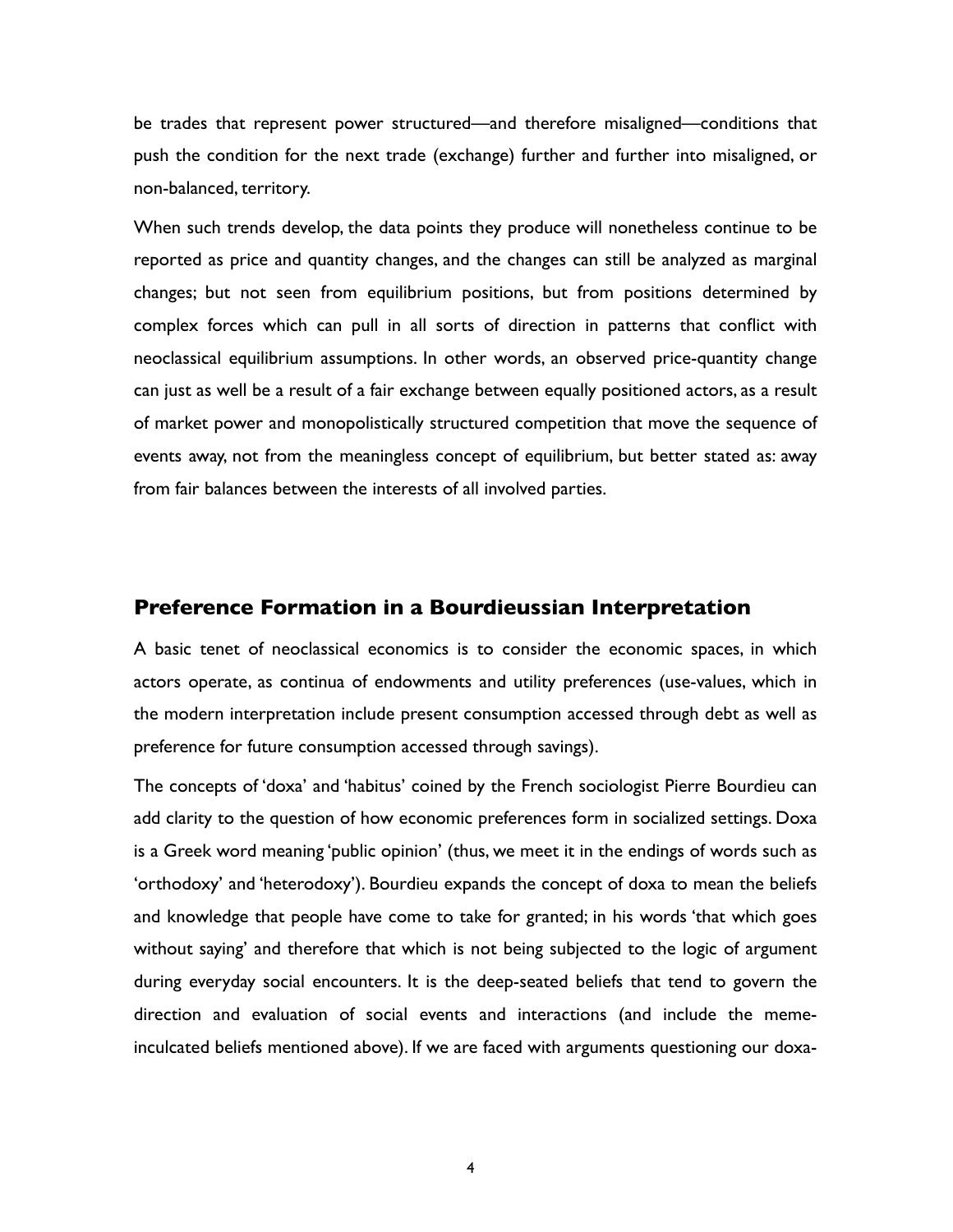be trades that represent power structured—and therefore misaligned—conditions that push the condition for the next trade (exchange) further and further into misaligned, or non-balanced, territory.

When such trends develop, the data points they produce will nonetheless continue to be reported as price and quantity changes, and the changes can still be analyzed as marginal changes; but not seen from equilibrium positions, but from positions determined by complex forces which can pull in all sorts of direction in patterns that conflict with neoclassical equilibrium assumptions. In other words, an observed price-quantity change can just as well be a result of a fair exchange between equally positioned actors, as a result of market power and monopolistically structured competition that move the sequence of events away, not from the meaningless concept of equilibrium, but better stated as: away from fair balances between the interests of all involved parties.

#### **Preference Formation in a Bourdieussian Interpretation**

A basic tenet of neoclassical economics is to consider the economic spaces, in which actors operate, as continua of endowments and utility preferences (use-values, which in the modern interpretation include present consumption accessed through debt as well as preference for future consumption accessed through savings).

The concepts of 'doxa' and 'habitus' coined by the French sociologist Pierre Bourdieu can add clarity to the question of how economic preferences form in socialized settings. Doxa is a Greek word meaning 'public opinion' (thus, we meet it in the endings of words such as 'orthodoxy' and 'heterodoxy'). Bourdieu expands the concept of doxa to mean the beliefs and knowledge that people have come to take for granted; in his words 'that which goes without saying' and therefore that which is not being subjected to the logic of argument during everyday social encounters. It is the deep-seated beliefs that tend to govern the direction and evaluation of social events and interactions (and include the memeinculcated beliefs mentioned above). If we are faced with arguments questioning our doxa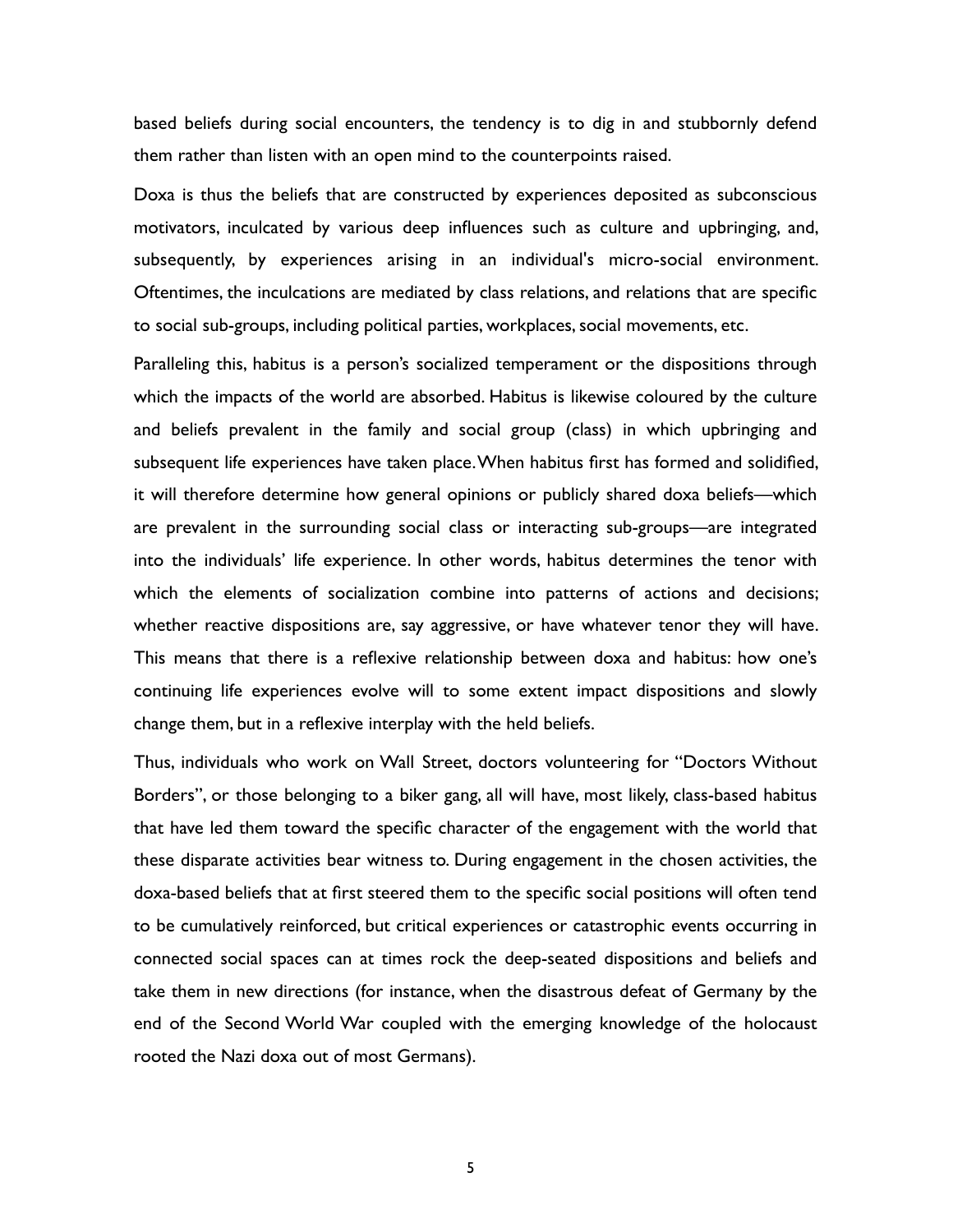based beliefs during social encounters, the tendency is to dig in and stubbornly defend them rather than listen with an open mind to the counterpoints raised.

Doxa is thus the beliefs that are constructed by experiences deposited as subconscious motivators, inculcated by various deep influences such as culture and upbringing, and, subsequently, by experiences arising in an individual's micro-social environment. Oftentimes, the inculcations are mediated by class relations, and relations that are specific to social sub-groups, including political parties, workplaces, social movements, etc.

Paralleling this, habitus is a person's socialized temperament or the dispositions through which the impacts of the world are absorbed. Habitus is likewise coloured by the culture and beliefs prevalent in the family and social group (class) in which upbringing and subsequent life experiences have taken place. When habitus first has formed and solidified, it will therefore determine how general opinions or publicly shared doxa beliefs—which are prevalent in the surrounding social class or interacting sub-groups—are integrated into the individuals' life experience. In other words, habitus determines the tenor with which the elements of socialization combine into patterns of actions and decisions; whether reactive dispositions are, say aggressive, or have whatever tenor they will have. This means that there is a reflexive relationship between doxa and habitus: how one's continuing life experiences evolve will to some extent impact dispositions and slowly change them, but in a reflexive interplay with the held beliefs.

Thus, individuals who work on Wall Street, doctors volunteering for "Doctors Without Borders", or those belonging to a biker gang, all will have, most likely, class-based habitus that have led them toward the specific character of the engagement with the world that these disparate activities bear witness to. During engagement in the chosen activities, the doxa-based beliefs that at first steered them to the specific social positions will often tend to be cumulatively reinforced, but critical experiences or catastrophic events occurring in connected social spaces can at times rock the deep-seated dispositions and beliefs and take them in new directions (for instance, when the disastrous defeat of Germany by the end of the Second World War coupled with the emerging knowledge of the holocaust rooted the Nazi doxa out of most Germans).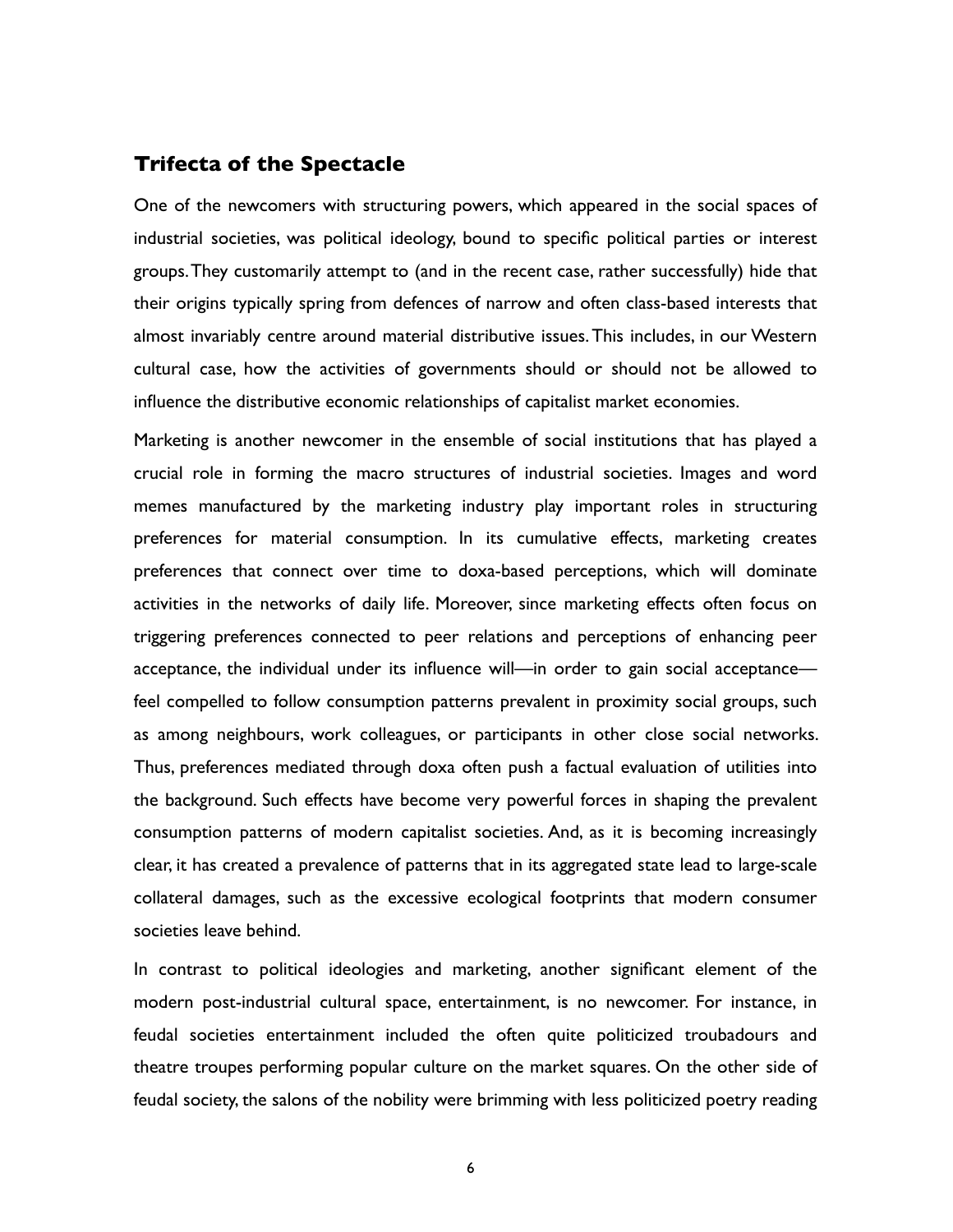#### **Trifecta of the Spectacle**

One of the newcomers with structuring powers, which appeared in the social spaces of industrial societies, was political ideology, bound to specific political parties or interest groups. They customarily attempt to (and in the recent case, rather successfully) hide that their origins typically spring from defences of narrow and often class-based interests that almost invariably centre around material distributive issues. This includes, in our Western cultural case, how the activities of governments should or should not be allowed to influence the distributive economic relationships of capitalist market economies.

Marketing is another newcomer in the ensemble of social institutions that has played a crucial role in forming the macro structures of industrial societies. Images and word memes manufactured by the marketing industry play important roles in structuring preferences for material consumption. In its cumulative effects, marketing creates preferences that connect over time to doxa-based perceptions, which will dominate activities in the networks of daily life. Moreover, since marketing effects often focus on triggering preferences connected to peer relations and perceptions of enhancing peer acceptance, the individual under its influence will—in order to gain social acceptance feel compelled to follow consumption patterns prevalent in proximity social groups, such as among neighbours, work colleagues, or participants in other close social networks. Thus, preferences mediated through doxa often push a factual evaluation of utilities into the background. Such effects have become very powerful forces in shaping the prevalent consumption patterns of modern capitalist societies. And, as it is becoming increasingly clear, it has created a prevalence of patterns that in its aggregated state lead to large-scale collateral damages, such as the excessive ecological footprints that modern consumer societies leave behind.

In contrast to political ideologies and marketing, another significant element of the modern post-industrial cultural space, entertainment, is no newcomer. For instance, in feudal societies entertainment included the often quite politicized troubadours and theatre troupes performing popular culture on the market squares. On the other side of feudal society, the salons of the nobility were brimming with less politicized poetry reading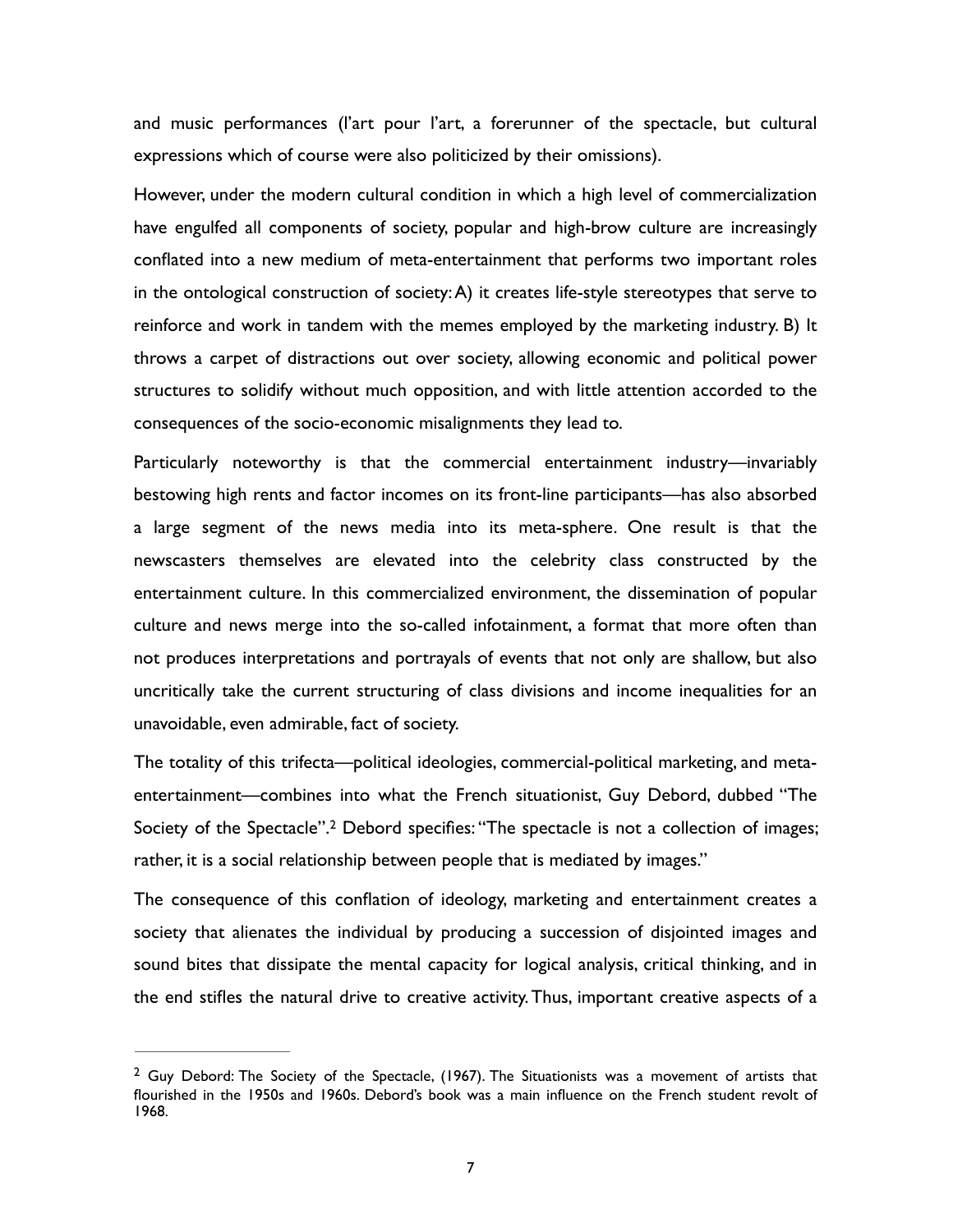and music performances (l'art pour l'art, a forerunner of the spectacle, but cultural expressions which of course were also politicized by their omissions).

However, under the modern cultural condition in which a high level of commercialization have engulfed all components of society, popular and high-brow culture are increasingly conflated into a new medium of meta-entertainment that performs two important roles in the ontological construction of society: A) it creates life-style stereotypes that serve to reinforce and work in tandem with the memes employed by the marketing industry. B) It throws a carpet of distractions out over society, allowing economic and political power structures to solidify without much opposition, and with little attention accorded to the consequences of the socio-economic misalignments they lead to.

Particularly noteworthy is that the commercial entertainment industry—invariably bestowing high rents and factor incomes on its front-line participants—has also absorbed a large segment of the news media into its meta-sphere. One result is that the newscasters themselves are elevated into the celebrity class constructed by the entertainment culture. In this commercialized environment, the dissemination of popular culture and news merge into the so-called infotainment, a format that more often than not produces interpretations and portrayals of events that not only are shallow, but also uncritically take the current structuring of class divisions and income inequalities for an unavoidable, even admirable, fact of society.

<span id="page-6-1"></span>The totality of this trifecta—political ideologies, commercial-political marketing, and metaentertainment—combines into what the French situationist, Guy Debord, dubbed "The Societyof the Spectacle".<sup>[2](#page-6-0)</sup> Debord specifies: "The spectacle is not a collection of images; rather, it is a social relationship between people that is mediated by images."

The consequence of this conflation of ideology, marketing and entertainment creates a society that alienates the individual by producing a succession of disjointed images and sound bites that dissipate the mental capacity for logical analysis, critical thinking, and in the end stifles the natural drive to creative activity. Thus, important creative aspects of a

<span id="page-6-0"></span> $<sup>2</sup>$  $<sup>2</sup>$  $<sup>2</sup>$  Guy Debord: The Society of the Spectacle, (1967). The Situationists was a movement of artists that</sup> flourished in the 1950s and 1960s. Debord's book was a main influence on the French student revolt of 1968.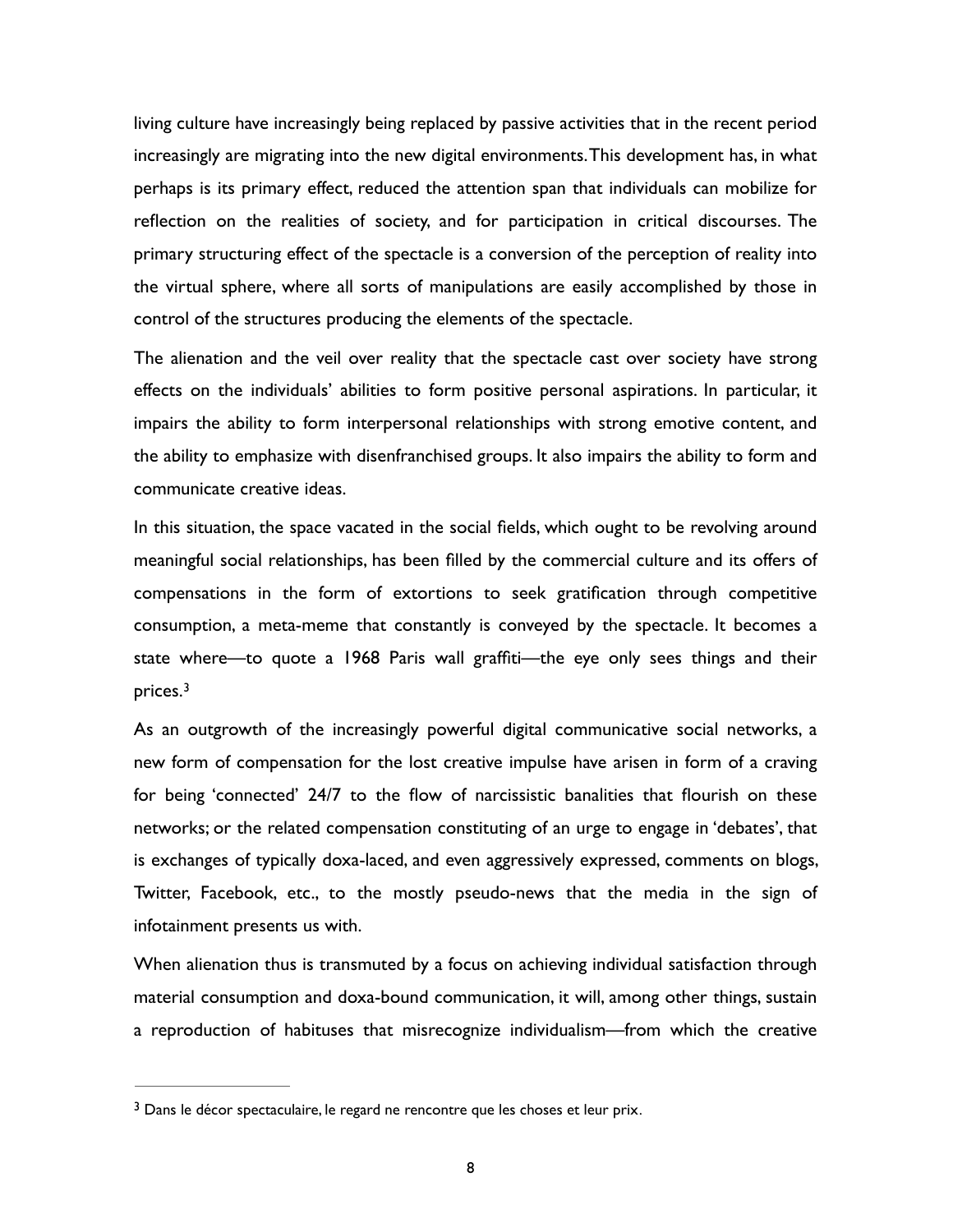living culture have increasingly being replaced by passive activities that in the recent period increasingly are migrating into the new digital environments. This development has, in what perhaps is its primary effect, reduced the attention span that individuals can mobilize for reflection on the realities of society, and for participation in critical discourses. The primary structuring effect of the spectacle is a conversion of the perception of reality into the virtual sphere, where all sorts of manipulations are easily accomplished by those in control of the structures producing the elements of the spectacle.

The alienation and the veil over reality that the spectacle cast over society have strong effects on the individuals' abilities to form positive personal aspirations. In particular, it impairs the ability to form interpersonal relationships with strong emotive content, and the ability to emphasize with disenfranchised groups. It also impairs the ability to form and communicate creative ideas.

In this situation, the space vacated in the social fields, which ought to be revolving around meaningful social relationships, has been filled by the commercial culture and its offers of compensations in the form of extortions to seek gratification through competitive consumption, a meta-meme that constantly is conveyed by the spectacle. It becomes a state where—to quote a 1968 Paris wall graffiti—the eye only sees things and their prices.[3](#page-7-0)

<span id="page-7-1"></span>As an outgrowth of the increasingly powerful digital communicative social networks, a new form of compensation for the lost creative impulse have arisen in form of a craving for being 'connected' 24/7 to the flow of narcissistic banalities that flourish on these networks; or the related compensation constituting of an urge to engage in 'debates', that is exchanges of typically doxa-laced, and even aggressively expressed, comments on blogs, Twitter, Facebook, etc., to the mostly pseudo-news that the media in the sign of infotainment presents us with.

When alienation thus is transmuted by a focus on achieving individual satisfaction through material consumption and doxa-bound communication, it will, among other things, sustain a reproduction of habituses that misrecognize individualism—from which the creative

<span id="page-7-0"></span><sup>&</sup>lt;sup>[3](#page-7-1)</sup> Dans le décor spectaculaire, le regard ne rencontre que les choses et leur prix.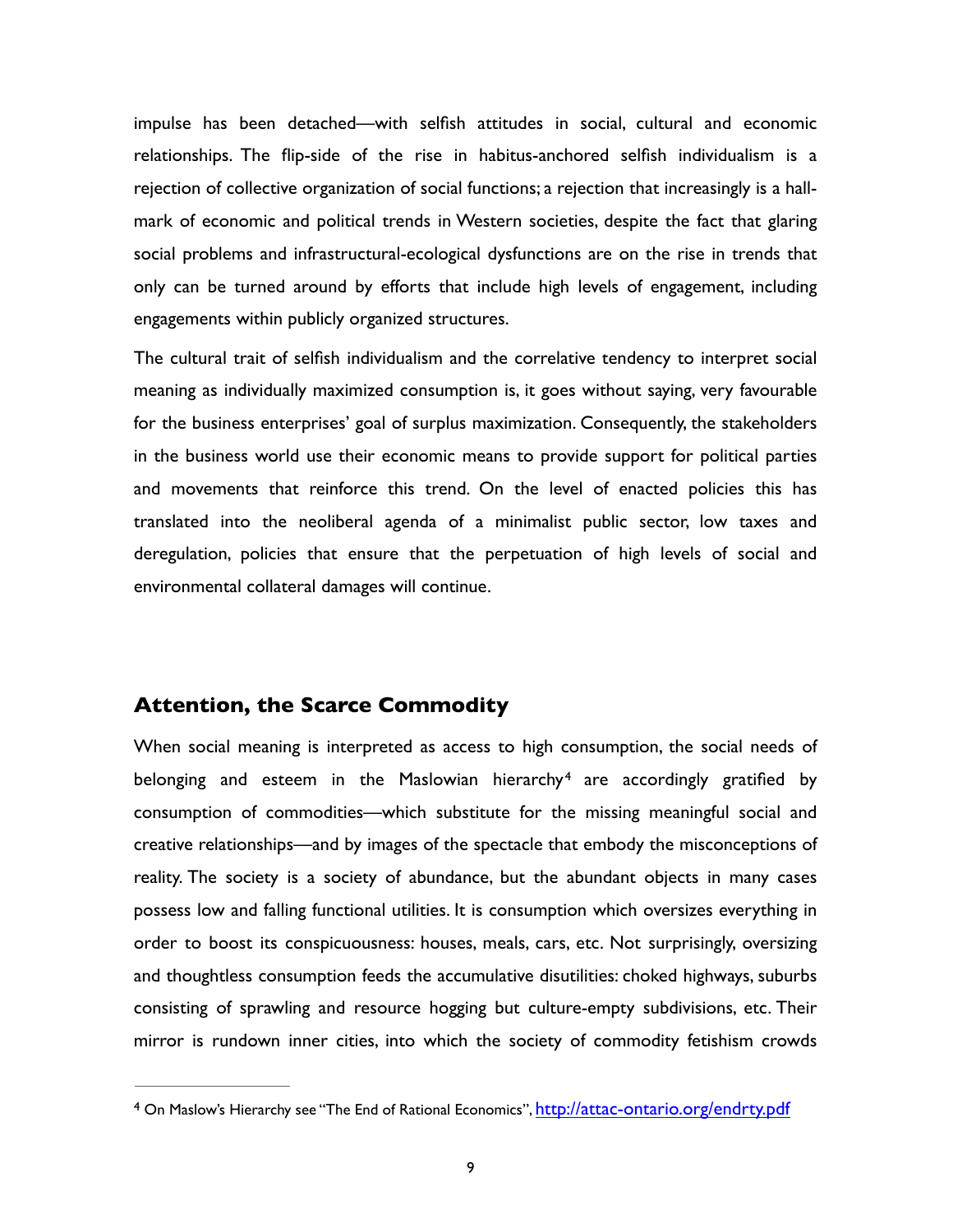impulse has been detached—with selfish attitudes in social, cultural and economic relationships. The flip-side of the rise in habitus-anchored selfish individualism is a rejection of collective organization of social functions; a rejection that increasingly is a hallmark of economic and political trends in Western societies, despite the fact that glaring social problems and infrastructural-ecological dysfunctions are on the rise in trends that only can be turned around by efforts that include high levels of engagement, including engagements within publicly organized structures.

The cultural trait of selfish individualism and the correlative tendency to interpret social meaning as individually maximized consumption is, it goes without saying, very favourable for the business enterprises' goal of surplus maximization. Consequently, the stakeholders in the business world use their economic means to provide support for political parties and movements that reinforce this trend. On the level of enacted policies this has translated into the neoliberal agenda of a minimalist public sector, low taxes and deregulation, policies that ensure that the perpetuation of high levels of social and environmental collateral damages will continue.

#### **Attention, the Scarce Commodity**

<span id="page-8-1"></span>When social meaning is interpreted as access to high consumption, the social needs of belongingand esteem in the Maslowian hierarchy<sup>[4](#page-8-0)</sup> are accordingly gratified by consumption of commodities—which substitute for the missing meaningful social and creative relationships—and by images of the spectacle that embody the misconceptions of reality. The society is a society of abundance, but the abundant objects in many cases possess low and falling functional utilities. It is consumption which oversizes everything in order to boost its conspicuousness: houses, meals, cars, etc. Not surprisingly, oversizing and thoughtless consumption feeds the accumulative disutilities: choked highways, suburbs consisting of sprawling and resource hogging but culture-empty subdivisions, etc. Their mirror is rundown inner cities, into which the society of commodity fetishism crowds

<span id="page-8-0"></span><sup>&</sup>lt;sup>4</sup> On Maslow's Hierarchy see "The End of Rational Economics", [http://attac-ontario.org/endrty.pdf](http://attac-ontario.org/endrty-.pdf)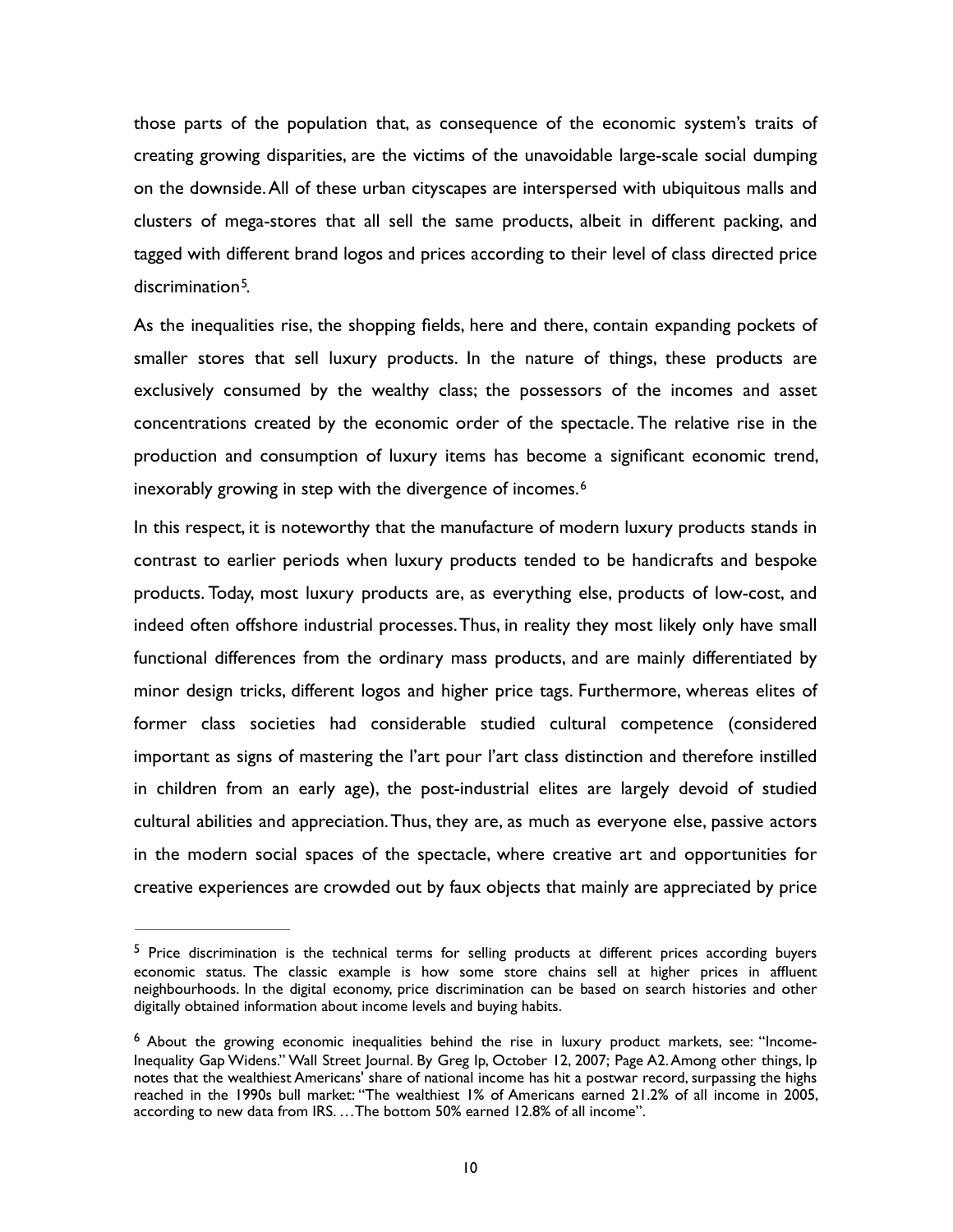those parts of the population that, as consequence of the economic system's traits of creating growing disparities, are the victims of the unavoidable large-scale social dumping on the downside. All of these urban cityscapes are interspersed with ubiquitous malls and clusters of mega-stores that all sell the same products, albeit in different packing, and tagged with different brand logos and prices according to their level of class directed price  $discription<sup>5</sup>$  $discription<sup>5</sup>$  $discription<sup>5</sup>$ [.](#page-9-0)

<span id="page-9-2"></span>As the inequalities rise, the shopping fields, here and there, contain expanding pockets of smaller stores that sell luxury products. In the nature of things, these products are exclusively consumed by the wealthy class; the possessors of the incomes and asset concentrations created by the economic order of the spectacle. The relative rise in the production and consumption of luxury items has become a significant economic trend, inexorably growing in step with the divergence of incomes.<sup>[6](#page-9-1)</sup>

<span id="page-9-3"></span>In this respect, it is noteworthy that the manufacture of modern luxury products stands in contrast to earlier periods when luxury products tended to be handicrafts and bespoke products. Today, most luxury products are, as everything else, products of low-cost, and indeed often offshore industrial processes. Thus, in reality they most likely only have small functional differences from the ordinary mass products, and are mainly differentiated by minor design tricks, different logos and higher price tags. Furthermore, whereas elites of former class societies had considerable studied cultural competence (considered important as signs of mastering the l'art pour l'art class distinction and therefore instilled in children from an early age), the post-industrial elites are largely devoid of studied cultural abilities and appreciation. Thus, they are, as much as everyone else, passive actors in the modern social spaces of the spectacle, where creative art and opportunities for creative experiences are crowded out by faux objects that mainly are appreciated by price

<span id="page-9-0"></span> $5$  Price discrimination is the technical terms for selling products at different prices according buyers economic status. The classic example is how some store chains sell at higher prices in affluent neighbourhoods. In the digital economy, price discrimination can be based on search histories and other digitally obtained information about income levels and buying habits.

<span id="page-9-1"></span><sup>&</sup>lt;sup>[6](#page-9-3)</sup> About the growing economic inequalities behind the rise in luxury product markets, see: "Income-Inequality Gap Widens." Wall Street Journal. By Greg Ip, October 12, 2007; Page A2. Among other things, Ip notes that the wealthiest Americans' share of national income has hit a postwar record, surpassing the highs reached in the 1990s bull market: "The wealthiest 1% of Americans earned 21.2% of all income in 2005, according to new data from IRS. …The bottom 50% earned 12.8% of all income".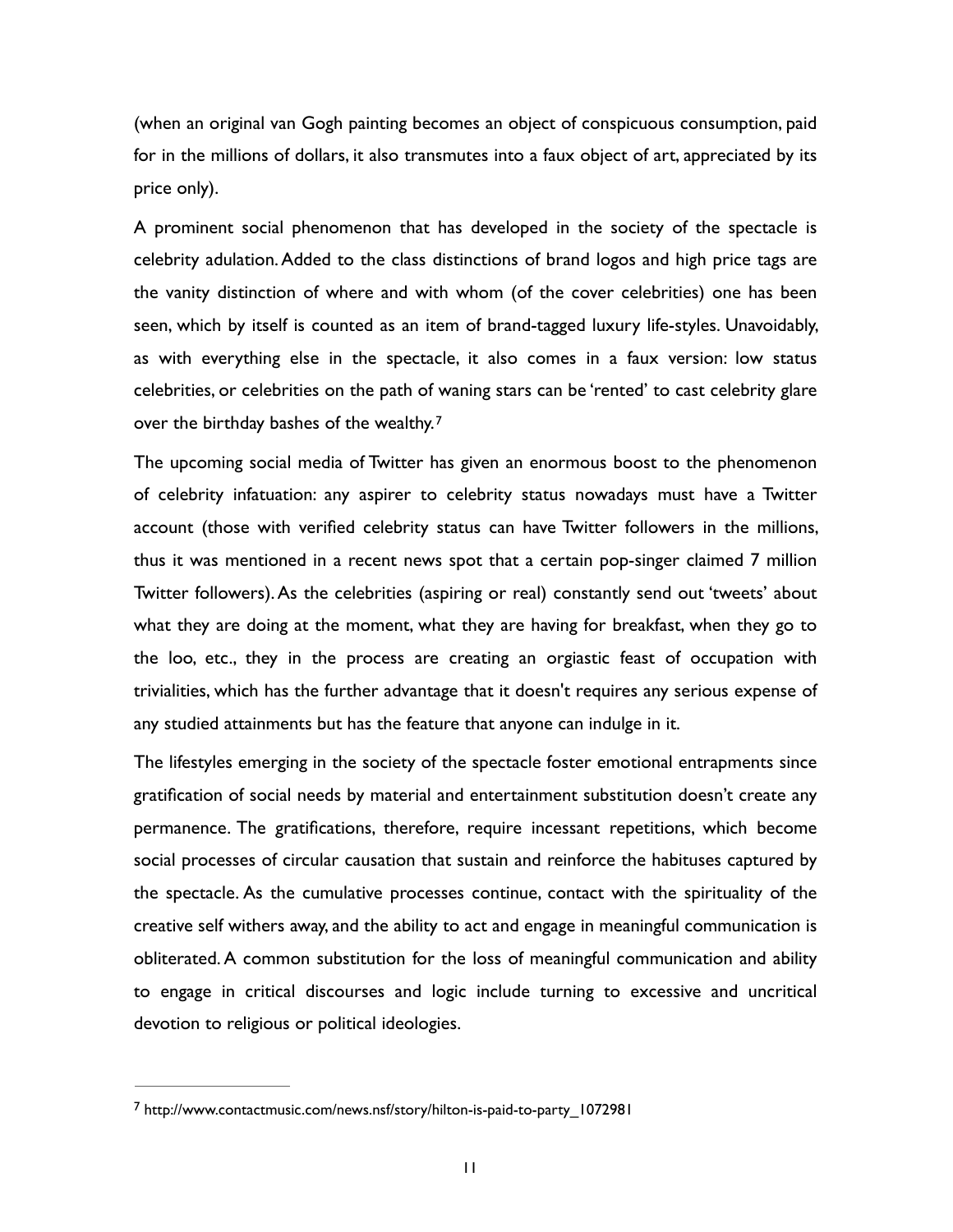(when an original van Gogh painting becomes an object of conspicuous consumption, paid for in the millions of dollars, it also transmutes into a faux object of art, appreciated by its price only).

A prominent social phenomenon that has developed in the society of the spectacle is celebrity adulation. Added to the class distinctions of brand logos and high price tags are the vanity distinction of where and with whom (of the cover celebrities) one has been seen, which by itself is counted as an item of brand-tagged luxury life-styles. Unavoidably, as with everything else in the spectacle, it also comes in a faux version: low status celebrities, or celebrities on the path of waning stars can be 'rented' to cast celebrity glare over the birthday bashes of the wealthy.[7](#page-10-0)

<span id="page-10-1"></span>The upcoming social media of Twitter has given an enormous boost to the phenomenon of celebrity infatuation: any aspirer to celebrity status nowadays must have a Twitter account (those with verified celebrity status can have Twitter followers in the millions, thus it was mentioned in a recent news spot that a certain pop-singer claimed 7 million Twitter followers). As the celebrities (aspiring or real) constantly send out 'tweets' about what they are doing at the moment, what they are having for breakfast, when they go to the loo, etc., they in the process are creating an orgiastic feast of occupation with trivialities, which has the further advantage that it doesn't requires any serious expense of any studied attainments but has the feature that anyone can indulge in it.

The lifestyles emerging in the society of the spectacle foster emotional entrapments since gratification of social needs by material and entertainment substitution doesn't create any permanence. The gratifications, therefore, require incessant repetitions, which become social processes of circular causation that sustain and reinforce the habituses captured by the spectacle. As the cumulative processes continue, contact with the spirituality of the creative self withers away, and the ability to act and engage in meaningful communication is obliterated. A common substitution for the loss of meaningful communication and ability to engage in critical discourses and logic include turning to excessive and uncritical devotion to religious or political ideologies.

<span id="page-10-0"></span>http://www.contactmusic.com/news.nsf/story/hilton-is-paid-to-party\_1072981 [7](#page-10-1)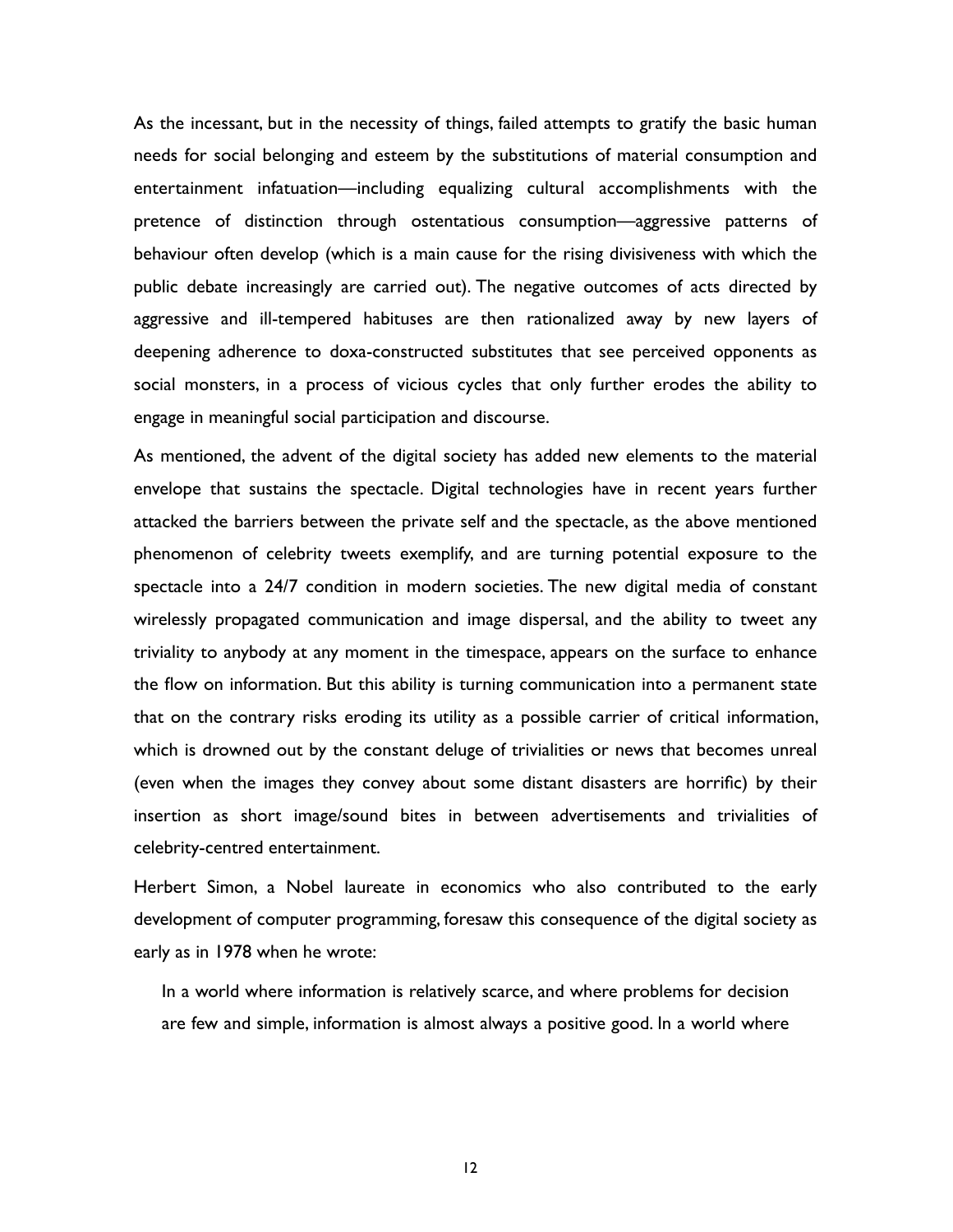As the incessant, but in the necessity of things, failed attempts to gratify the basic human needs for social belonging and esteem by the substitutions of material consumption and entertainment infatuation—including equalizing cultural accomplishments with the pretence of distinction through ostentatious consumption—aggressive patterns of behaviour often develop (which is a main cause for the rising divisiveness with which the public debate increasingly are carried out). The negative outcomes of acts directed by aggressive and ill-tempered habituses are then rationalized away by new layers of deepening adherence to doxa-constructed substitutes that see perceived opponents as social monsters, in a process of vicious cycles that only further erodes the ability to engage in meaningful social participation and discourse.

As mentioned, the advent of the digital society has added new elements to the material envelope that sustains the spectacle. Digital technologies have in recent years further attacked the barriers between the private self and the spectacle, as the above mentioned phenomenon of celebrity tweets exemplify, and are turning potential exposure to the spectacle into a 24/7 condition in modern societies. The new digital media of constant wirelessly propagated communication and image dispersal, and the ability to tweet any triviality to anybody at any moment in the timespace, appears on the surface to enhance the flow on information. But this ability is turning communication into a permanent state that on the contrary risks eroding its utility as a possible carrier of critical information, which is drowned out by the constant deluge of trivialities or news that becomes unreal (even when the images they convey about some distant disasters are horrific) by their insertion as short image/sound bites in between advertisements and trivialities of celebrity-centred entertainment.

Herbert Simon, a Nobel laureate in economics who also contributed to the early development of computer programming, foresaw this consequence of the digital society as early as in 1978 when he wrote:

In a world where information is relatively scarce, and where problems for decision are few and simple, information is almost always a positive good. In a world where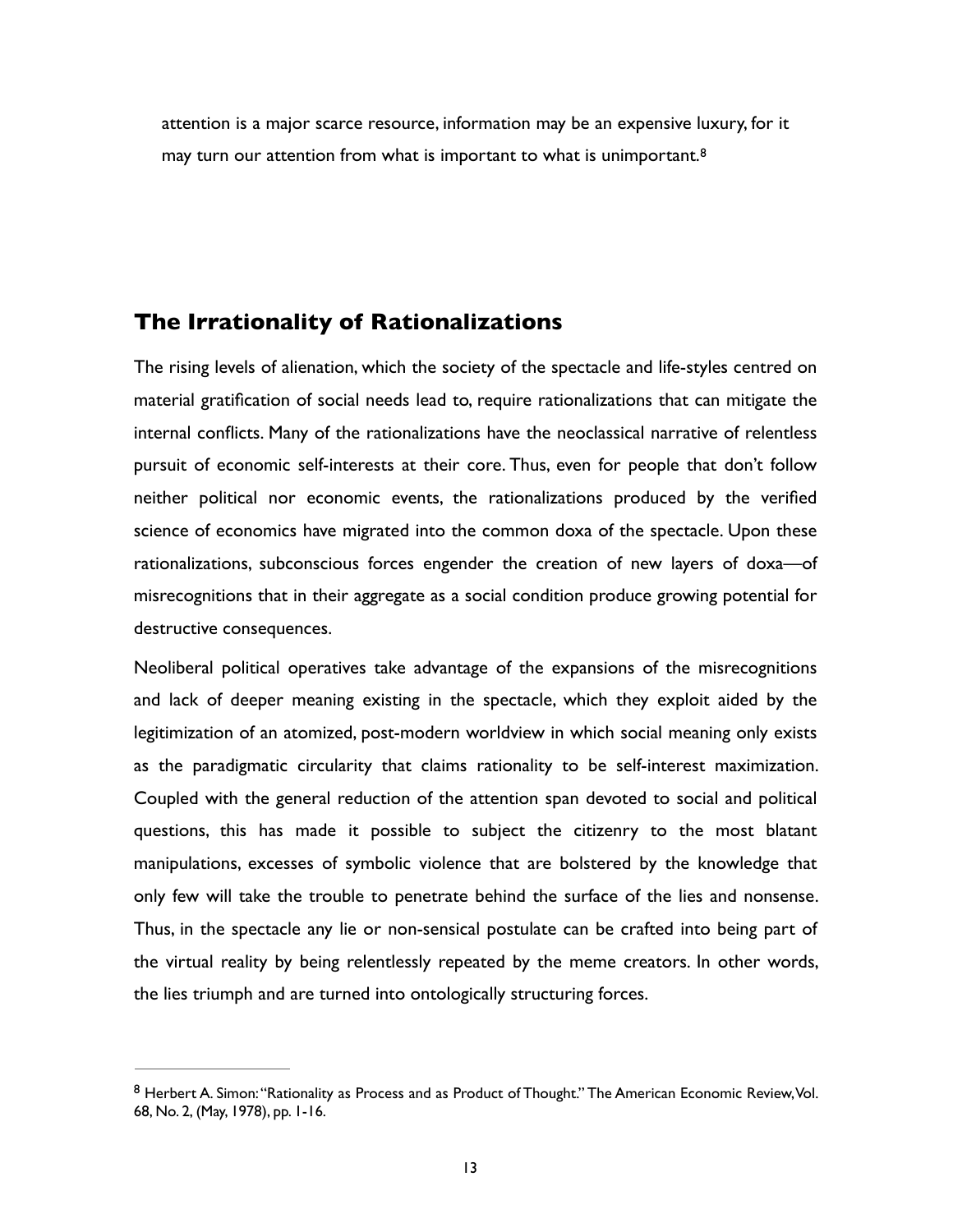<span id="page-12-1"></span>attention is a major scarce resource, information may be an expensive luxury, for it may turn our attention from what is important to what is unimportant.<sup>[8](#page-12-0)</sup>

## **The Irrationality of Rationalizations**

The rising levels of alienation, which the society of the spectacle and life-styles centred on material gratification of social needs lead to, require rationalizations that can mitigate the internal conflicts. Many of the rationalizations have the neoclassical narrative of relentless pursuit of economic self-interests at their core. Thus, even for people that don't follow neither political nor economic events, the rationalizations produced by the verified science of economics have migrated into the common doxa of the spectacle. Upon these rationalizations, subconscious forces engender the creation of new layers of doxa—of misrecognitions that in their aggregate as a social condition produce growing potential for destructive consequences.

Neoliberal political operatives take advantage of the expansions of the misrecognitions and lack of deeper meaning existing in the spectacle, which they exploit aided by the legitimization of an atomized, post-modern worldview in which social meaning only exists as the paradigmatic circularity that claims rationality to be self-interest maximization. Coupled with the general reduction of the attention span devoted to social and political questions, this has made it possible to subject the citizenry to the most blatant manipulations, excesses of symbolic violence that are bolstered by the knowledge that only few will take the trouble to penetrate behind the surface of the lies and nonsense. Thus, in the spectacle any lie or non-sensical postulate can be crafted into being part of the virtual reality by being relentlessly repeated by the meme creators. In other words, the lies triumph and are turned into ontologically structuring forces.

<span id="page-12-0"></span>[<sup>8</sup>](#page-12-1) Herbert A. Simon: "Rationality as Process and as Product of Thought." The American Economic Review, Vol. 68, No. 2, (May, 1978), pp. 1-16.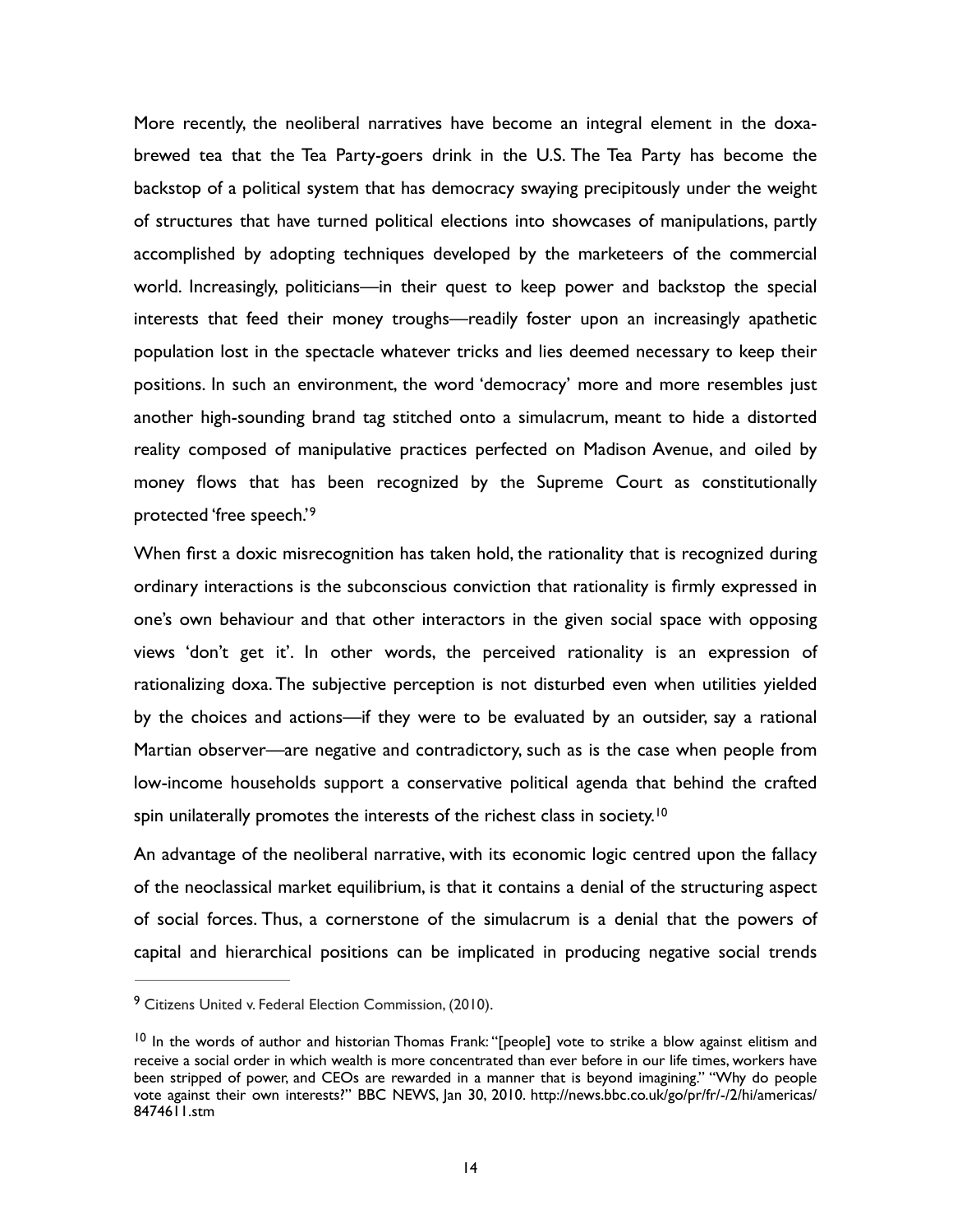More recently, the neoliberal narratives have become an integral element in the doxabrewed tea that the Tea Party-goers drink in the U.S. The Tea Party has become the backstop of a political system that has democracy swaying precipitously under the weight of structures that have turned political elections into showcases of manipulations, partly accomplished by adopting techniques developed by the marketeers of the commercial world. Increasingly, politicians—in their quest to keep power and backstop the special interests that feed their money troughs—readily foster upon an increasingly apathetic population lost in the spectacle whatever tricks and lies deemed necessary to keep their positions. In such an environment, the word 'democracy' more and more resembles just another high-sounding brand tag stitched onto a simulacrum, meant to hide a distorted reality composed of manipulative practices perfected on Madison Avenue, and oiled by money flows that has been recognized by the Supreme Court as constitutionally protected 'free speech.'[9](#page-13-0)

<span id="page-13-2"></span>When first a doxic misrecognition has taken hold, the rationality that is recognized during ordinary interactions is the subconscious conviction that rationality is firmly expressed in one's own behaviour and that other interactors in the given social space with opposing views 'don't get it'. In other words, the perceived rationality is an expression of rationalizing doxa. The subjective perception is not disturbed even when utilities yielded by the choices and actions—if they were to be evaluated by an outsider, say a rational Martian observer—are negative and contradictory, such as is the case when people from low-income households support a conservative political agenda that behind the crafted spin unilaterally promotes the interests of the richest class in society.<sup>[10](#page-13-1)</sup>

<span id="page-13-3"></span>An advantage of the neoliberal narrative, with its economic logic centred upon the fallacy of the neoclassical market equilibrium, is that it contains a denial of the structuring aspect of social forces. Thus, a cornerstone of the simulacrum is a denial that the powers of capital and hierarchical positions can be implicated in producing negative social trends

<span id="page-13-0"></span><sup>&</sup>lt;sup>[9](#page-13-2)</sup> Citizens United v. Federal Election Commission, (2010).

<span id="page-13-1"></span> $10$  In the words of author and historian Thomas Frank: "[people] vote to strike a blow against elitism and receive a social order in which wealth is more concentrated than ever before in our life times, workers have been stripped of power, and CEOs are rewarded in a manner that is beyond imagining." "Why do people vote against their own interests?" BBC NEWS, Jan 30, 2010. http://news.bbc.co.uk/go/pr/fr/-/2/hi/americas/ 8474611.stm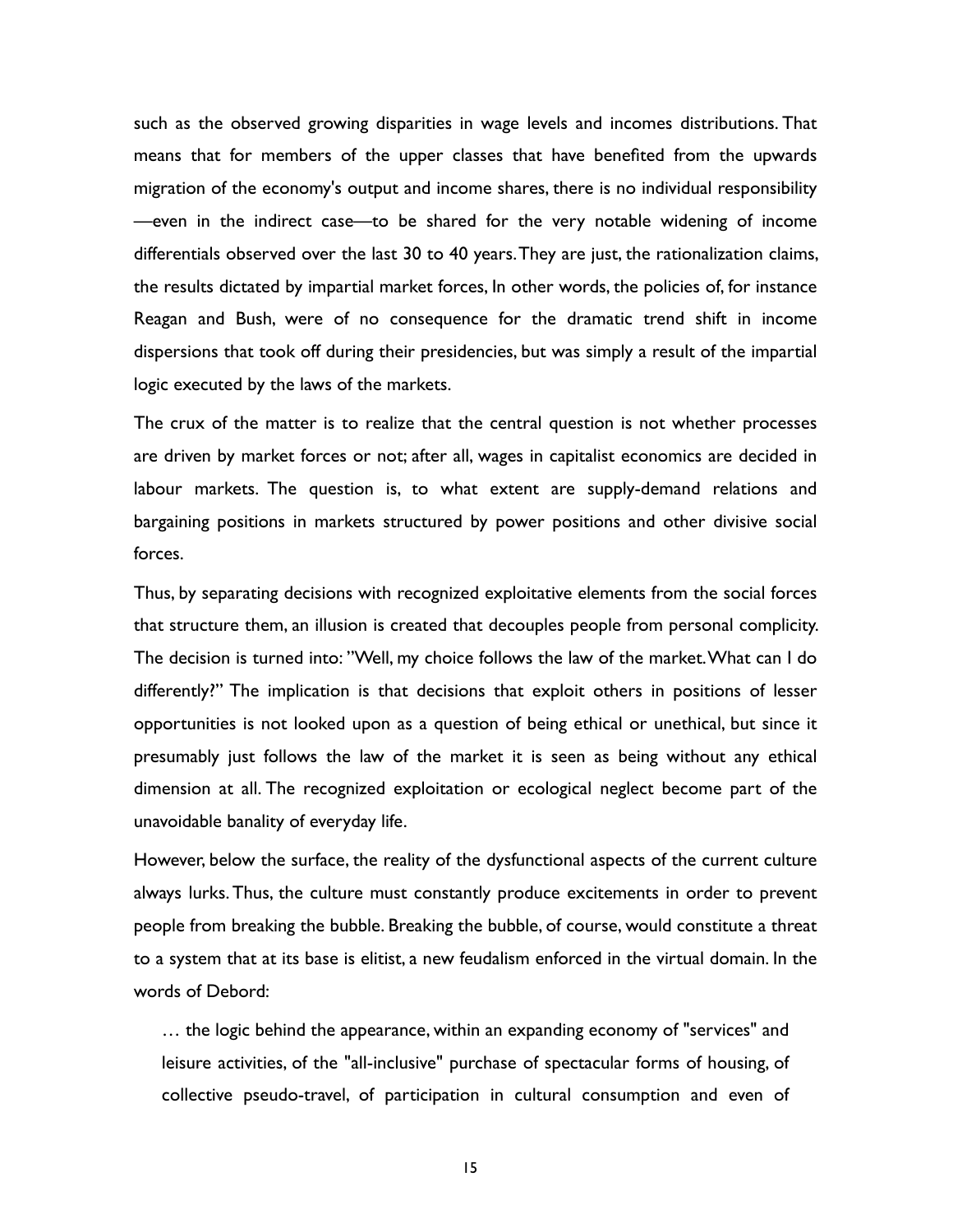such as the observed growing disparities in wage levels and incomes distributions. That means that for members of the upper classes that have benefited from the upwards migration of the economy's output and income shares, there is no individual responsibility —even in the indirect case—to be shared for the very notable widening of income differentials observed over the last 30 to 40 years. They are just, the rationalization claims, the results dictated by impartial market forces, In other words, the policies of, for instance Reagan and Bush, were of no consequence for the dramatic trend shift in income dispersions that took off during their presidencies, but was simply a result of the impartial logic executed by the laws of the markets.

The crux of the matter is to realize that the central question is not whether processes are driven by market forces or not; after all, wages in capitalist economics are decided in labour markets. The question is, to what extent are supply-demand relations and bargaining positions in markets structured by power positions and other divisive social forces.

Thus, by separating decisions with recognized exploitative elements from the social forces that structure them, an illusion is created that decouples people from personal complicity. The decision is turned into: "Well, my choice follows the law of the market. What can I do differently?" The implication is that decisions that exploit others in positions of lesser opportunities is not looked upon as a question of being ethical or unethical, but since it presumably just follows the law of the market it is seen as being without any ethical dimension at all. The recognized exploitation or ecological neglect become part of the unavoidable banality of everyday life.

However, below the surface, the reality of the dysfunctional aspects of the current culture always lurks. Thus, the culture must constantly produce excitements in order to prevent people from breaking the bubble. Breaking the bubble, of course, would constitute a threat to a system that at its base is elitist, a new feudalism enforced in the virtual domain. In the words of Debord:

… the logic behind the appearance, within an expanding economy of "services" and leisure activities, of the "all-inclusive" purchase of spectacular forms of housing, of collective pseudo-travel, of participation in cultural consumption and even of